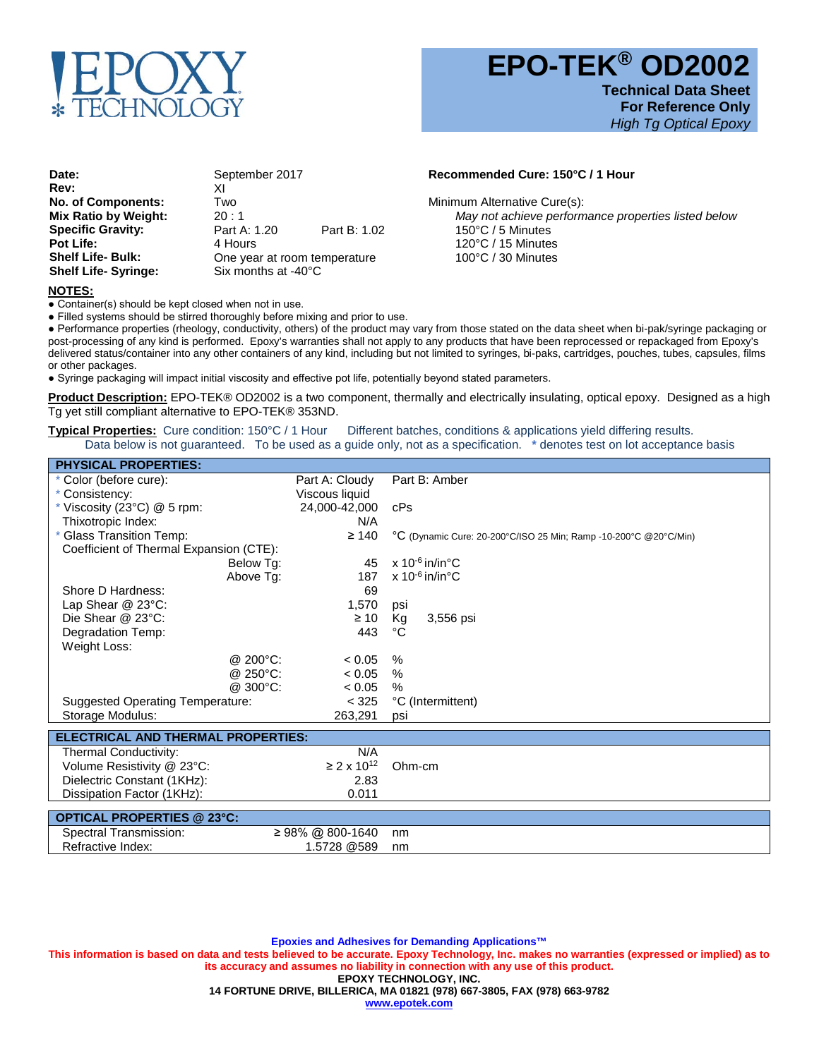

 **EPO-TEK® OD2002 Technical Data Sheet For Reference Only**

*High Tg Optical Epoxy*

**Date:** September 2017 **Recommended Cure: 150°C / 1 Hour**<br>Rev: XI **Rev:** XI **No. of Components:** Two **No. of Components:** Two **Minimum Alternative Cure(s):** Mix Ratio by Weight: 20:1 **Mix Ratio by Weight:** 20: 1 *Partic 1.20 May not achieve performance properties listed below*<br> **Specific Gravity: Part A: 1.20 Part B: 1.02 150°C** / 5 Minutes **Specific Gravity:** Part A: 1.20 Part B: 1.02 150°C / 5 Minutes<br> **Pot Life:** 120°C / 15 Minutes Pot Life: **120°C** / 15 Minutes<br> **Shelf Life- Bulk: 120°C** / 30 Minutes One year at room temperature<br>Six months at -40°C **Shelf Life- Syringe:** 

## **NOTES:**

● Container(s) should be kept closed when not in use.

● Filled systems should be stirred thoroughly before mixing and prior to use.

● Performance properties (rheology, conductivity, others) of the product may vary from those stated on the data sheet when bi-pak/syringe packaging or post-processing of any kind is performed. Epoxy's warranties shall not apply to any products that have been reprocessed or repackaged from Epoxy's delivered status/container into any other containers of any kind, including but not limited to syringes, bi-paks, cartridges, pouches, tubes, capsules, films or other packages.

● Syringe packaging will impact initial viscosity and effective pot life, potentially beyond stated parameters.

**Product Description:** EPO-TEK® OD2002 is a two component, thermally and electrically insulating, optical epoxy. Designed as a high Tg yet still compliant alternative to EPO-TEK® 353ND.

**Typical Properties:** Cure condition: 150°C / 1 Hour Different batches, conditions & applications yield differing results. Data below is not guaranteed. To be used as a guide only, not as a specification. **\*** denotes test on lot acceptance basis

| <b>PHYSICAL PROPERTIES:</b>             |                |                                                                  |
|-----------------------------------------|----------------|------------------------------------------------------------------|
| * Color (before cure):                  | Part A: Cloudy | Part B: Amber                                                    |
| Consistency:                            | Viscous liquid |                                                                  |
| Viscosity (23 $^{\circ}$ C) @ 5 rpm:    | 24,000-42,000  | cPs                                                              |
| Thixotropic Index:                      | N/A            |                                                                  |
| Glass Transition Temp:                  | $\geq 140$     | °C (Dynamic Cure: 20-200°C/ISO 25 Min; Ramp -10-200°C @20°C/Min) |
| Coefficient of Thermal Expansion (CTE): |                |                                                                  |
| Below Tg:                               | 45             | $\times$ 10 <sup>-6</sup> in/in°C                                |
| Above Tq:                               | 187            | x 10 $-6$ in/in $^{\circ}$ C                                     |
| Shore D Hardness:                       | 69             |                                                                  |
| Lap Shear @ 23°C:                       | 1,570          | psi                                                              |
| Die Shear @ 23°C:                       | $\geq 10$      | Kg<br>3,556 psi                                                  |
| Degradation Temp:                       | 443            | °C                                                               |
| Weight Loss:                            |                |                                                                  |
| @ $200^{\circ}$ C:                      | < 0.05         | $\%$                                                             |
| @ 250 $^{\circ}$ C:                     | < 0.05         | $\%$                                                             |
| @300°C:                                 | < 0.05         | $\%$                                                             |
| <b>Suggested Operating Temperature:</b> | < 325          | °C (Intermittent)                                                |
| Storage Modulus:                        | 263,291        | psi                                                              |
|                                         |                |                                                                  |

| <b>ELECTRICAL AND THERMAL PROPERTIES:</b> |       |                                    |
|-------------------------------------------|-------|------------------------------------|
| Thermal Conductivity:                     | N/A   |                                    |
| Volume Resistivity @ 23°C:                |       | $\geq$ 2 x 10 <sup>12</sup> Ohm-cm |
| Dielectric Constant (1KHz):               | 2.83  |                                    |
| Dissipation Factor (1KHz):                | 0.011 |                                    |
|                                           |       |                                    |
| $\blacksquare$ ODTICAL DRODEDTIES @ 22°C. |       |                                    |

| OPTICAL PROPERTIES @ 23°C: |                  |    |
|----------------------------|------------------|----|
| Spectral Transmission:     | ≥ 98% @ 800-1640 | nm |
| Refractive Index:          | .5728 @589       | nm |

**Epoxies and Adhesives for Demanding Applications™ This information is based on data and tests believed to be accurate. Epoxy Technology, Inc. makes no warranties (expressed or implied) as to its accuracy and assumes no liability in connection with any use of this product. EPOXY TECHNOLOGY, INC. 14 FORTUNE DRIVE, BILLERICA, MA 01821 (978) 667-3805, FAX (978) 663-9782 www.epotek.com**